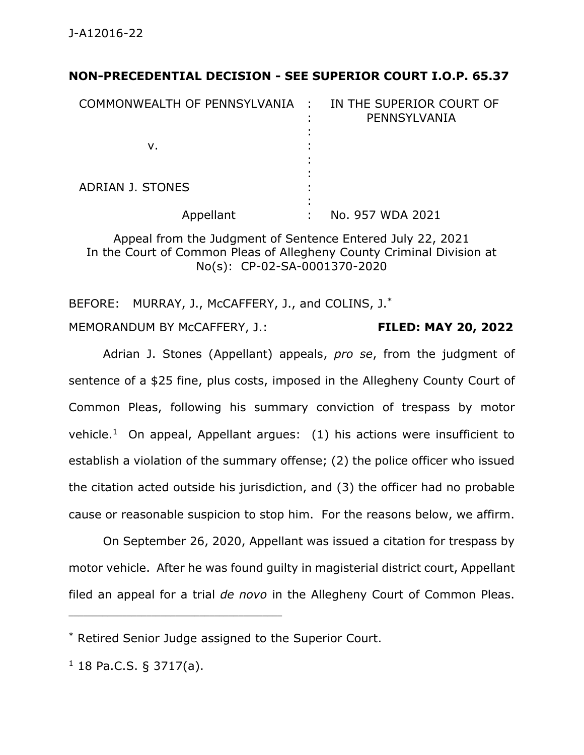## **NON-PRECEDENTIAL DECISION - SEE SUPERIOR COURT I.O.P. 65.37**

| COMMONWEALTH OF PENNSYLVANIA : | IN THE SUPERIOR COURT OF<br>PENNSYLVANIA |
|--------------------------------|------------------------------------------|
| ν.                             |                                          |
| ADRIAN J. STONES               |                                          |
| Appellant                      | No. 957 WDA 2021                         |

Appeal from the Judgment of Sentence Entered July 22, 2021 In the Court of Common Pleas of Allegheny County Criminal Division at No(s): CP-02-SA-0001370-2020

BEFORE: MURRAY, J., McCAFFERY, J., and COLINS, J.<sup>\*</sup>

MEMORANDUM BY McCAFFERY, J.: **FILED: MAY 20, 2022**

Adrian J. Stones (Appellant) appeals, *pro se*, from the judgment of sentence of a \$25 fine, plus costs, imposed in the Allegheny County Court of Common Pleas, following his summary conviction of trespass by motor vehicle.<sup>1</sup> On appeal, Appellant argues: (1) his actions were insufficient to establish a violation of the summary offense; (2) the police officer who issued the citation acted outside his jurisdiction, and (3) the officer had no probable cause or reasonable suspicion to stop him. For the reasons below, we affirm.

On September 26, 2020, Appellant was issued a citation for trespass by motor vehicle. After he was found guilty in magisterial district court, Appellant filed an appeal for a trial *de novo* in the Allegheny Court of Common Pleas.

\_\_\_\_\_\_\_\_\_\_\_\_\_\_\_\_\_\_\_\_\_\_\_\_\_\_\_\_\_\_\_\_\_\_\_\_\_\_\_\_\_\_\_\_

<sup>\*</sup> Retired Senior Judge assigned to the Superior Court.

 $1$  18 Pa.C.S. § 3717(a).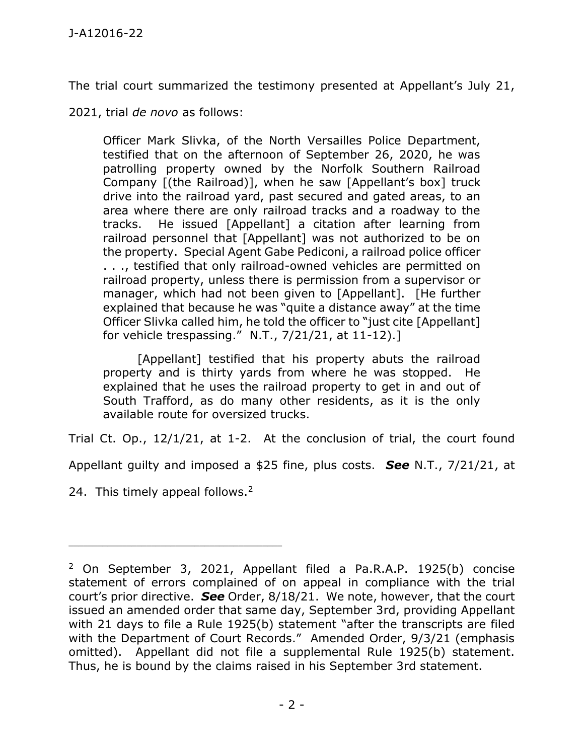The trial court summarized the testimony presented at Appellant's July 21,

2021, trial *de novo* as follows:

Officer Mark Slivka, of the North Versailles Police Department, testified that on the afternoon of September 26, 2020, he was patrolling property owned by the Norfolk Southern Railroad Company [(the Railroad)], when he saw [Appellant's box] truck drive into the railroad yard, past secured and gated areas, to an area where there are only railroad tracks and a roadway to the tracks. He issued [Appellant] a citation after learning from railroad personnel that [Appellant] was not authorized to be on the property. Special Agent Gabe Pediconi, a railroad police officer . . ., testified that only railroad-owned vehicles are permitted on railroad property, unless there is permission from a supervisor or manager, which had not been given to [Appellant]. [He further explained that because he was "quite a distance away" at the time Officer Slivka called him, he told the officer to "just cite [Appellant] for vehicle trespassing." N.T., 7/21/21, at 11-12).]

[Appellant] testified that his property abuts the railroad property and is thirty yards from where he was stopped. He explained that he uses the railroad property to get in and out of South Trafford, as do many other residents, as it is the only available route for oversized trucks.

Trial Ct. Op., 12/1/21, at 1-2. At the conclusion of trial, the court found

Appellant guilty and imposed a \$25 fine, plus costs. *See* N.T., 7/21/21, at

24. This timely appeal follows.<sup>2</sup>

\_\_\_\_\_\_\_\_\_\_\_\_\_\_\_\_\_\_\_\_\_\_\_\_\_\_\_\_\_\_\_\_\_\_\_\_\_\_\_\_\_\_\_\_

<sup>2</sup> On September 3, 2021, Appellant filed a Pa.R.A.P. 1925(b) concise statement of errors complained of on appeal in compliance with the trial court's prior directive. *See* Order, 8/18/21. We note, however, that the court issued an amended order that same day, September 3rd, providing Appellant with 21 days to file a Rule 1925(b) statement "after the transcripts are filed with the Department of Court Records." Amended Order, 9/3/21 (emphasis omitted). Appellant did not file a supplemental Rule 1925(b) statement. Thus, he is bound by the claims raised in his September 3rd statement.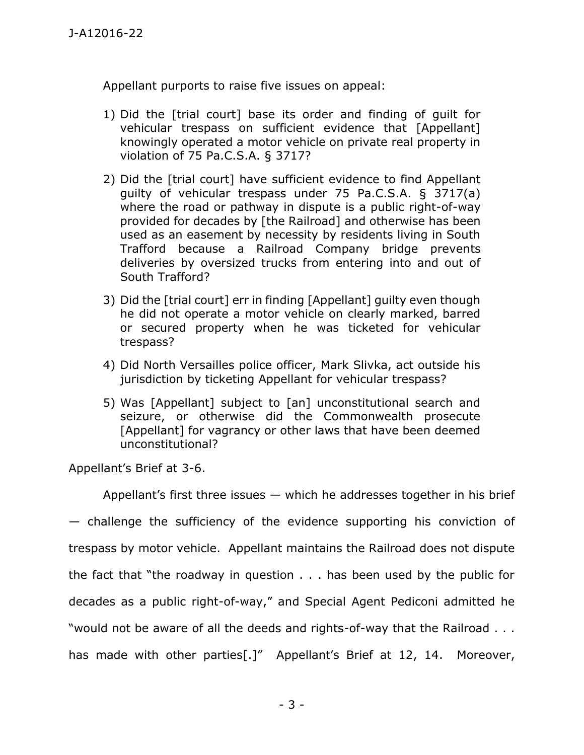Appellant purports to raise five issues on appeal:

- 1) Did the [trial court] base its order and finding of guilt for vehicular trespass on sufficient evidence that [Appellant] knowingly operated a motor vehicle on private real property in violation of 75 Pa.C.S.A. § 3717?
- 2) Did the [trial court] have sufficient evidence to find Appellant guilty of vehicular trespass under 75 Pa.C.S.A. § 3717(a) where the road or pathway in dispute is a public right-of-way provided for decades by [the Railroad] and otherwise has been used as an easement by necessity by residents living in South Trafford because a Railroad Company bridge prevents deliveries by oversized trucks from entering into and out of South Trafford?
- 3) Did the [trial court] err in finding [Appellant] guilty even though he did not operate a motor vehicle on clearly marked, barred or secured property when he was ticketed for vehicular trespass?
- 4) Did North Versailles police officer, Mark Slivka, act outside his jurisdiction by ticketing Appellant for vehicular trespass?
- 5) Was [Appellant] subject to [an] unconstitutional search and seizure, or otherwise did the Commonwealth prosecute [Appellant] for vagrancy or other laws that have been deemed unconstitutional?

Appellant's Brief at 3-6.

Appellant's first three issues — which he addresses together in his brief — challenge the sufficiency of the evidence supporting his conviction of trespass by motor vehicle. Appellant maintains the Railroad does not dispute the fact that "the roadway in question . . . has been used by the public for decades as a public right-of-way," and Special Agent Pediconi admitted he "would not be aware of all the deeds and rights-of-way that the Railroad . . . has made with other parties[.]" Appellant's Brief at 12, 14. Moreover,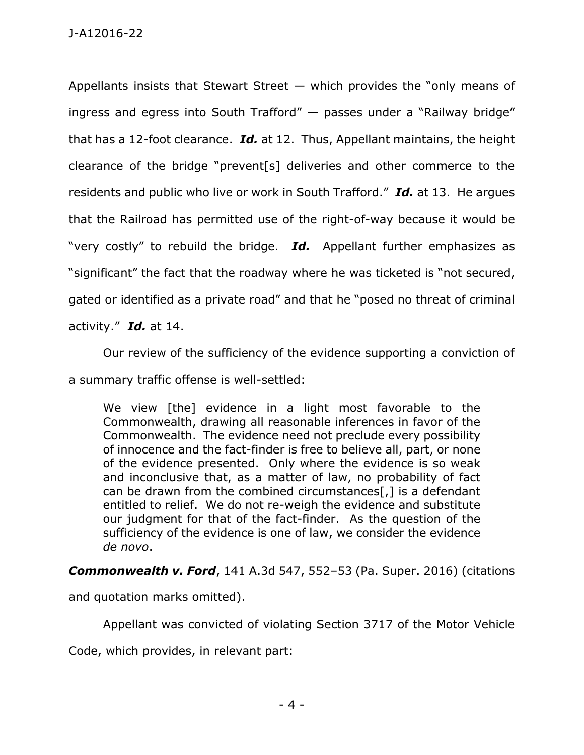Appellants insists that Stewart Street  $-$  which provides the "only means of ingress and egress into South Trafford" — passes under a "Railway bridge" that has a 12-foot clearance. *Id.* at 12. Thus, Appellant maintains, the height clearance of the bridge "prevent[s] deliveries and other commerce to the residents and public who live or work in South Trafford." *Id.* at 13. He argues that the Railroad has permitted use of the right-of-way because it would be "very costly" to rebuild the bridge. *Id.* Appellant further emphasizes as "significant" the fact that the roadway where he was ticketed is "not secured, gated or identified as a private road" and that he "posed no threat of criminal activity." *Id.* at 14.

Our review of the sufficiency of the evidence supporting a conviction of

a summary traffic offense is well-settled:

We view [the] evidence in a light most favorable to the Commonwealth, drawing all reasonable inferences in favor of the Commonwealth. The evidence need not preclude every possibility of innocence and the fact-finder is free to believe all, part, or none of the evidence presented. Only where the evidence is so weak and inconclusive that, as a matter of law, no probability of fact can be drawn from the combined circumstances[,] is a defendant entitled to relief. We do not re-weigh the evidence and substitute our judgment for that of the fact-finder. As the question of the sufficiency of the evidence is one of law, we consider the evidence *de novo*.

*Commonwealth v. Ford*, 141 A.3d 547, 552–53 (Pa. Super. 2016) (citations

and quotation marks omitted).

Appellant was convicted of violating Section 3717 of the Motor Vehicle

Code, which provides, in relevant part: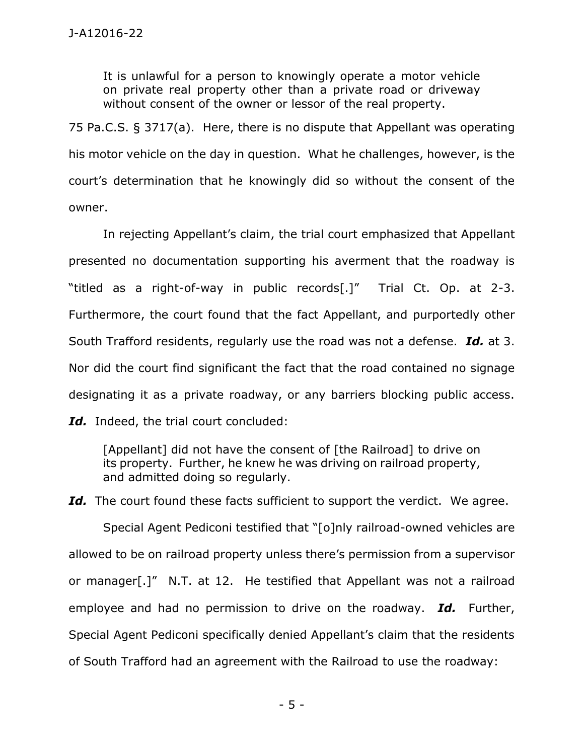It is unlawful for a person to knowingly operate a motor vehicle on private real property other than a private road or driveway without consent of the owner or lessor of the real property.

75 Pa.C.S. § 3717(a). Here, there is no dispute that Appellant was operating his motor vehicle on the day in question. What he challenges, however, is the court's determination that he knowingly did so without the consent of the owner.

In rejecting Appellant's claim, the trial court emphasized that Appellant presented no documentation supporting his averment that the roadway is "titled as a right-of-way in public records[.]" Trial Ct. Op. at 2-3. Furthermore, the court found that the fact Appellant, and purportedly other South Trafford residents, regularly use the road was not a defense. *Id.* at 3. Nor did the court find significant the fact that the road contained no signage designating it as a private roadway, or any barriers blocking public access. *Id.* Indeed, the trial court concluded:

[Appellant] did not have the consent of [the Railroad] to drive on its property. Further, he knew he was driving on railroad property, and admitted doing so regularly.

Id. The court found these facts sufficient to support the verdict. We agree. Special Agent Pediconi testified that "[o]nly railroad-owned vehicles are allowed to be on railroad property unless there's permission from a supervisor or manager[.]" N.T. at 12. He testified that Appellant was not a railroad employee and had no permission to drive on the roadway. *Id.* Further, Special Agent Pediconi specifically denied Appellant's claim that the residents of South Trafford had an agreement with the Railroad to use the roadway: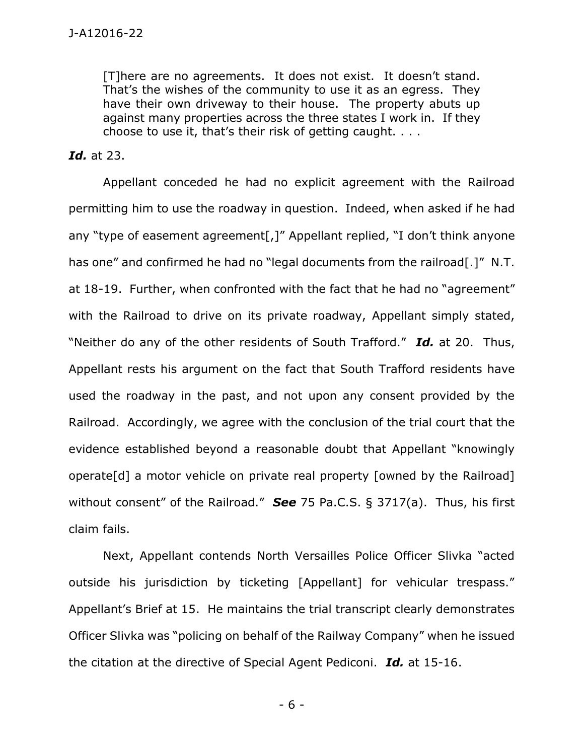[T]here are no agreements. It does not exist. It doesn't stand. That's the wishes of the community to use it as an egress. They have their own driveway to their house. The property abuts up against many properties across the three states I work in. If they choose to use it, that's their risk of getting caught. . . .

## *Id.* at 23.

Appellant conceded he had no explicit agreement with the Railroad permitting him to use the roadway in question. Indeed, when asked if he had any "type of easement agreement[,]" Appellant replied, "I don't think anyone has one" and confirmed he had no "legal documents from the railroad[.]" N.T. at 18-19. Further, when confronted with the fact that he had no "agreement" with the Railroad to drive on its private roadway, Appellant simply stated, "Neither do any of the other residents of South Trafford." *Id.* at 20. Thus, Appellant rests his argument on the fact that South Trafford residents have used the roadway in the past, and not upon any consent provided by the Railroad. Accordingly, we agree with the conclusion of the trial court that the evidence established beyond a reasonable doubt that Appellant "knowingly operate[d] a motor vehicle on private real property [owned by the Railroad] without consent" of the Railroad." *See* 75 Pa.C.S. § 3717(a). Thus, his first claim fails.

Next, Appellant contends North Versailles Police Officer Slivka "acted outside his jurisdiction by ticketing [Appellant] for vehicular trespass." Appellant's Brief at 15. He maintains the trial transcript clearly demonstrates Officer Slivka was "policing on behalf of the Railway Company" when he issued the citation at the directive of Special Agent Pediconi. *Id.* at 15-16.

- 6 -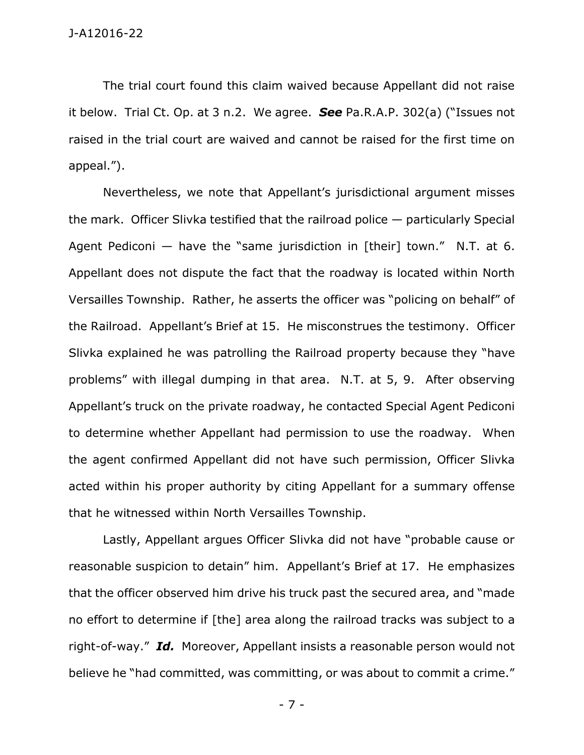The trial court found this claim waived because Appellant did not raise it below. Trial Ct. Op. at 3 n.2. We agree. *See* Pa.R.A.P. 302(a) ("Issues not raised in the trial court are waived and cannot be raised for the first time on appeal.").

Nevertheless, we note that Appellant's jurisdictional argument misses the mark. Officer Slivka testified that the railroad police — particularly Special Agent Pediconi  $-$  have the "same jurisdiction in [their] town." N.T. at 6. Appellant does not dispute the fact that the roadway is located within North Versailles Township. Rather, he asserts the officer was "policing on behalf" of the Railroad. Appellant's Brief at 15. He misconstrues the testimony. Officer Slivka explained he was patrolling the Railroad property because they "have problems" with illegal dumping in that area. N.T. at 5, 9. After observing Appellant's truck on the private roadway, he contacted Special Agent Pediconi to determine whether Appellant had permission to use the roadway. When the agent confirmed Appellant did not have such permission, Officer Slivka acted within his proper authority by citing Appellant for a summary offense that he witnessed within North Versailles Township.

Lastly, Appellant argues Officer Slivka did not have "probable cause or reasonable suspicion to detain" him. Appellant's Brief at 17. He emphasizes that the officer observed him drive his truck past the secured area, and "made no effort to determine if [the] area along the railroad tracks was subject to a right-of-way." *Id.* Moreover, Appellant insists a reasonable person would not believe he "had committed, was committing, or was about to commit a crime."

- 7 -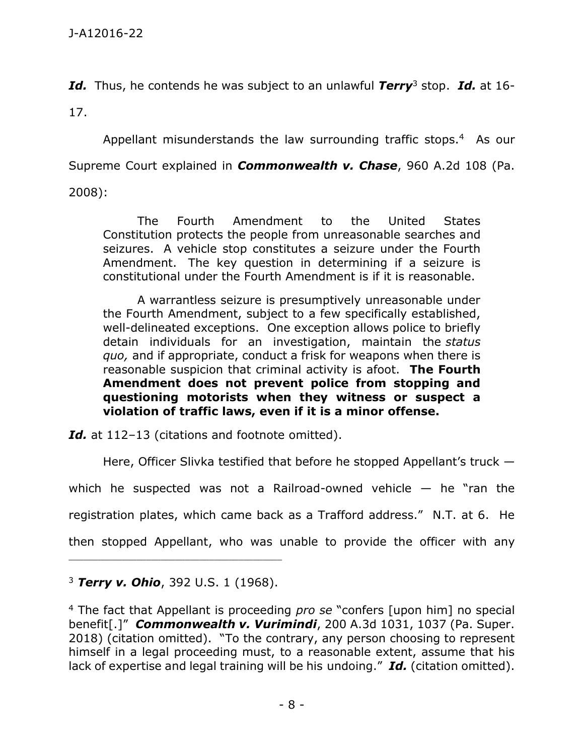*Id.* Thus, he contends he was subject to an unlawful *Terry*<sup>3</sup> stop. *Id.* at 16-

17.

Appellant misunderstands the law surrounding traffic stops.<sup>4</sup> As our Supreme Court explained in *Commonwealth v. Chase*, 960 A.2d 108 (Pa. 2008):

The Fourth Amendment to the United States Constitution protects the people from unreasonable searches and seizures. A vehicle stop constitutes a seizure under the Fourth Amendment. The key question in determining if a seizure is constitutional under the Fourth Amendment is if it is reasonable.

A warrantless seizure is presumptively unreasonable under the Fourth Amendment, subject to a few specifically established, well-delineated exceptions. One exception allows police to briefly detain individuals for an investigation, maintain the *status quo,* and if appropriate, conduct a frisk for weapons when there is reasonable suspicion that criminal activity is afoot. **The Fourth Amendment does not prevent police from stopping and questioning motorists when they witness or suspect a violation of traffic laws, even if it is a minor offense.**

Id. at 112-13 (citations and footnote omitted).

Here, Officer Slivka testified that before he stopped Appellant's truck —

which he suspected was not a Railroad-owned vehicle  $-$  he "ran the

registration plates, which came back as a Trafford address." N.T. at 6. He

then stopped Appellant, who was unable to provide the officer with any

<sup>3</sup> *Terry v. Ohio*, 392 U.S. 1 (1968).

<sup>4</sup> The fact that Appellant is proceeding *pro se* "confers [upon him] no special benefit[.]" *Commonwealth v. Vurimindi*, 200 A.3d 1031, 1037 (Pa. Super. 2018) (citation omitted). "To the contrary, any person choosing to represent himself in a legal proceeding must, to a reasonable extent, assume that his lack of expertise and legal training will be his undoing." *Id.* (citation omitted).